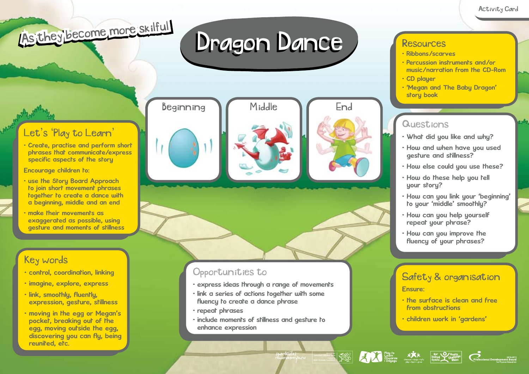# As they become more skilful

## Dragon Dance



• Create, practise and perform short phrases that communicate/express specific aspects of the story

Encourage children to:

- use the Story Board Approach to join short movement phrases together to create a dance with a beginning, middle and an end
- make their movements as exaggerated as possible, using gesture and moments of stillness

### Key words

- control, coordination, linking
- imagine, explore, express
- link, smoothly, fluently, expression, gesture, stillness
- moving in the egg or Megan's pocket, breaking out of the egg, moving outside the egg, discovering you can fly, being reunited, etc.

Beginning M Middle M End





#### Opportunities to

- express ideas through a range of movements
- link a series of actions together with some fluency to create a dance phrase
- repeat phrases
- include moments of stillness and gesture to enhance expression

#### **Resources**

- Ribbons/scarves
- Percussion instruments and/or music/narration from the CD-Rom
- CD player
- 'Megan and The Baby Dragon' story book

#### **Questions**

- What did you like and why?
- How and when have you used gesture and stillness?
- How else could you use these?
- How do these help you tell your story?
- How can you link your 'beginning' to your 'middle' smoothly?
- How can you help yourself repeat your phrase?
- How can you improve the fluency of your phrases?

### Safety & organisation

#### Ensure:

- the surface is clean and free from obstructions
- children work in 'gardens'